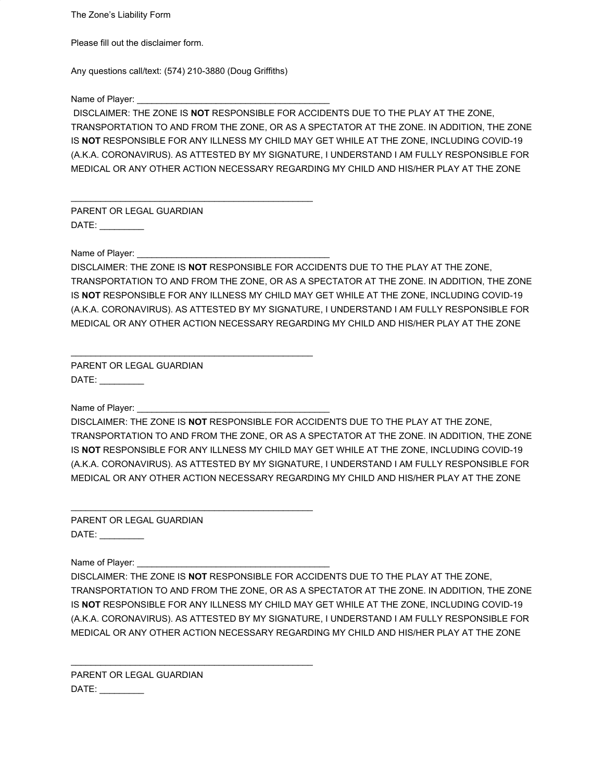The Zone's Liability Form

Please fill out the disclaimer form.

Any questions call/text: (574) 210-3880 (Doug Griffiths)

\_\_\_\_\_\_\_\_\_\_\_\_\_\_\_\_\_\_\_\_\_\_\_\_\_\_\_\_\_\_\_\_\_\_\_\_\_\_\_\_\_\_\_\_\_\_\_\_\_

\_\_\_\_\_\_\_\_\_\_\_\_\_\_\_\_\_\_\_\_\_\_\_\_\_\_\_\_\_\_\_\_\_\_\_\_\_\_\_\_\_\_\_\_\_\_\_\_\_

\_\_\_\_\_\_\_\_\_\_\_\_\_\_\_\_\_\_\_\_\_\_\_\_\_\_\_\_\_\_\_\_\_\_\_\_\_\_\_\_\_\_\_\_\_\_\_\_\_

\_\_\_\_\_\_\_\_\_\_\_\_\_\_\_\_\_\_\_\_\_\_\_\_\_\_\_\_\_\_\_\_\_\_\_\_\_\_\_\_\_\_\_\_\_\_\_\_\_

Name of Player:

 DISCLAIMER: THE ZONE IS **NOT** RESPONSIBLE FOR ACCIDENTS DUE TO THE PLAY AT THE ZONE, TRANSPORTATION TO AND FROM THE ZONE, OR AS A SPECTATOR AT THE ZONE. IN ADDITION, THE ZONE IS **NOT** RESPONSIBLE FOR ANY ILLNESS MY CHILD MAY GET WHILE AT THE ZONE, INCLUDING COVID-19 (A.K.A. CORONAVIRUS). AS ATTESTED BY MY SIGNATURE, I UNDERSTAND I AM FULLY RESPONSIBLE FOR MEDICAL OR ANY OTHER ACTION NECESSARY REGARDING MY CHILD AND HIS/HER PLAY AT THE ZONE

PARENT OR LEGAL GUARDIAN  $DATE:$ 

Name of Player:

DISCLAIMER: THE ZONE IS **NOT** RESPONSIBLE FOR ACCIDENTS DUE TO THE PLAY AT THE ZONE, TRANSPORTATION TO AND FROM THE ZONE, OR AS A SPECTATOR AT THE ZONE. IN ADDITION, THE ZONE IS **NOT** RESPONSIBLE FOR ANY ILLNESS MY CHILD MAY GET WHILE AT THE ZONE, INCLUDING COVID-19 (A.K.A. CORONAVIRUS). AS ATTESTED BY MY SIGNATURE, I UNDERSTAND I AM FULLY RESPONSIBLE FOR MEDICAL OR ANY OTHER ACTION NECESSARY REGARDING MY CHILD AND HIS/HER PLAY AT THE ZONE

PARENT OR LEGAL GUARDIAN DATE: \_\_\_\_\_\_\_\_\_

Name of Player:

DISCLAIMER: THE ZONE IS **NOT** RESPONSIBLE FOR ACCIDENTS DUE TO THE PLAY AT THE ZONE, TRANSPORTATION TO AND FROM THE ZONE, OR AS A SPECTATOR AT THE ZONE. IN ADDITION, THE ZONE IS **NOT** RESPONSIBLE FOR ANY ILLNESS MY CHILD MAY GET WHILE AT THE ZONE, INCLUDING COVID-19 (A.K.A. CORONAVIRUS). AS ATTESTED BY MY SIGNATURE, I UNDERSTAND I AM FULLY RESPONSIBLE FOR MEDICAL OR ANY OTHER ACTION NECESSARY REGARDING MY CHILD AND HIS/HER PLAY AT THE ZONE

PARENT OR LEGAL GUARDIAN DATE: \_\_\_\_\_\_\_\_\_

Name of Player:

DISCLAIMER: THE ZONE IS **NOT** RESPONSIBLE FOR ACCIDENTS DUE TO THE PLAY AT THE ZONE, TRANSPORTATION TO AND FROM THE ZONE, OR AS A SPECTATOR AT THE ZONE. IN ADDITION, THE ZONE IS **NOT** RESPONSIBLE FOR ANY ILLNESS MY CHILD MAY GET WHILE AT THE ZONE, INCLUDING COVID-19 (A.K.A. CORONAVIRUS). AS ATTESTED BY MY SIGNATURE, I UNDERSTAND I AM FULLY RESPONSIBLE FOR MEDICAL OR ANY OTHER ACTION NECESSARY REGARDING MY CHILD AND HIS/HER PLAY AT THE ZONE

PARENT OR LEGAL GUARDIAN DATE: \_\_\_\_\_\_\_\_\_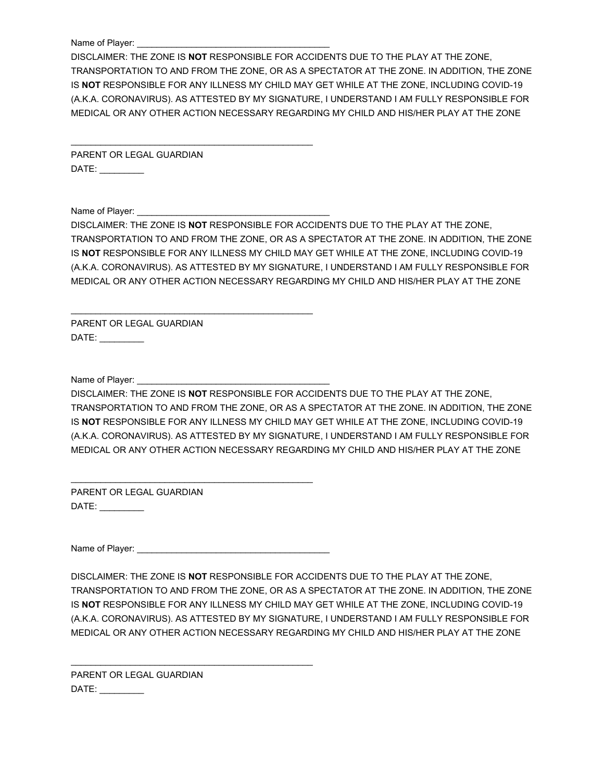Name of Player:

DISCLAIMER: THE ZONE IS **NOT** RESPONSIBLE FOR ACCIDENTS DUE TO THE PLAY AT THE ZONE, TRANSPORTATION TO AND FROM THE ZONE, OR AS A SPECTATOR AT THE ZONE. IN ADDITION, THE ZONE IS **NOT** RESPONSIBLE FOR ANY ILLNESS MY CHILD MAY GET WHILE AT THE ZONE, INCLUDING COVID-19 (A.K.A. CORONAVIRUS). AS ATTESTED BY MY SIGNATURE, I UNDERSTAND I AM FULLY RESPONSIBLE FOR MEDICAL OR ANY OTHER ACTION NECESSARY REGARDING MY CHILD AND HIS/HER PLAY AT THE ZONE

PARENT OR LEGAL GUARDIAN DATE: \_\_\_\_\_\_\_\_\_

\_\_\_\_\_\_\_\_\_\_\_\_\_\_\_\_\_\_\_\_\_\_\_\_\_\_\_\_\_\_\_\_\_\_\_\_\_\_\_\_\_\_\_\_\_\_\_\_\_

\_\_\_\_\_\_\_\_\_\_\_\_\_\_\_\_\_\_\_\_\_\_\_\_\_\_\_\_\_\_\_\_\_\_\_\_\_\_\_\_\_\_\_\_\_\_\_\_\_

Name of Player:

DISCLAIMER: THE ZONE IS **NOT** RESPONSIBLE FOR ACCIDENTS DUE TO THE PLAY AT THE ZONE, TRANSPORTATION TO AND FROM THE ZONE, OR AS A SPECTATOR AT THE ZONE. IN ADDITION, THE ZONE IS **NOT** RESPONSIBLE FOR ANY ILLNESS MY CHILD MAY GET WHILE AT THE ZONE, INCLUDING COVID-19 (A.K.A. CORONAVIRUS). AS ATTESTED BY MY SIGNATURE, I UNDERSTAND I AM FULLY RESPONSIBLE FOR MEDICAL OR ANY OTHER ACTION NECESSARY REGARDING MY CHILD AND HIS/HER PLAY AT THE ZONE

PARENT OR LEGAL GUARDIAN DATE: \_\_\_\_\_\_\_\_\_

Name of Player:

DISCLAIMER: THE ZONE IS **NOT** RESPONSIBLE FOR ACCIDENTS DUE TO THE PLAY AT THE ZONE, TRANSPORTATION TO AND FROM THE ZONE, OR AS A SPECTATOR AT THE ZONE. IN ADDITION, THE ZONE IS **NOT** RESPONSIBLE FOR ANY ILLNESS MY CHILD MAY GET WHILE AT THE ZONE, INCLUDING COVID-19 (A.K.A. CORONAVIRUS). AS ATTESTED BY MY SIGNATURE, I UNDERSTAND I AM FULLY RESPONSIBLE FOR MEDICAL OR ANY OTHER ACTION NECESSARY REGARDING MY CHILD AND HIS/HER PLAY AT THE ZONE

PARENT OR LEGAL GUARDIAN DATE: \_\_\_\_\_\_\_\_\_

Name of Player: \_\_\_\_\_\_\_\_\_\_\_\_\_\_\_\_\_\_\_\_\_\_\_\_\_\_\_\_\_\_\_\_\_\_\_\_\_\_\_

\_\_\_\_\_\_\_\_\_\_\_\_\_\_\_\_\_\_\_\_\_\_\_\_\_\_\_\_\_\_\_\_\_\_\_\_\_\_\_\_\_\_\_\_\_\_\_\_\_

\_\_\_\_\_\_\_\_\_\_\_\_\_\_\_\_\_\_\_\_\_\_\_\_\_\_\_\_\_\_\_\_\_\_\_\_\_\_\_\_\_\_\_\_\_\_\_\_\_

DISCLAIMER: THE ZONE IS **NOT** RESPONSIBLE FOR ACCIDENTS DUE TO THE PLAY AT THE ZONE, TRANSPORTATION TO AND FROM THE ZONE, OR AS A SPECTATOR AT THE ZONE. IN ADDITION, THE ZONE IS **NOT** RESPONSIBLE FOR ANY ILLNESS MY CHILD MAY GET WHILE AT THE ZONE, INCLUDING COVID-19 (A.K.A. CORONAVIRUS). AS ATTESTED BY MY SIGNATURE, I UNDERSTAND I AM FULLY RESPONSIBLE FOR MEDICAL OR ANY OTHER ACTION NECESSARY REGARDING MY CHILD AND HIS/HER PLAY AT THE ZONE

PARENT OR LEGAL GUARDIAN DATE: \_\_\_\_\_\_\_\_\_